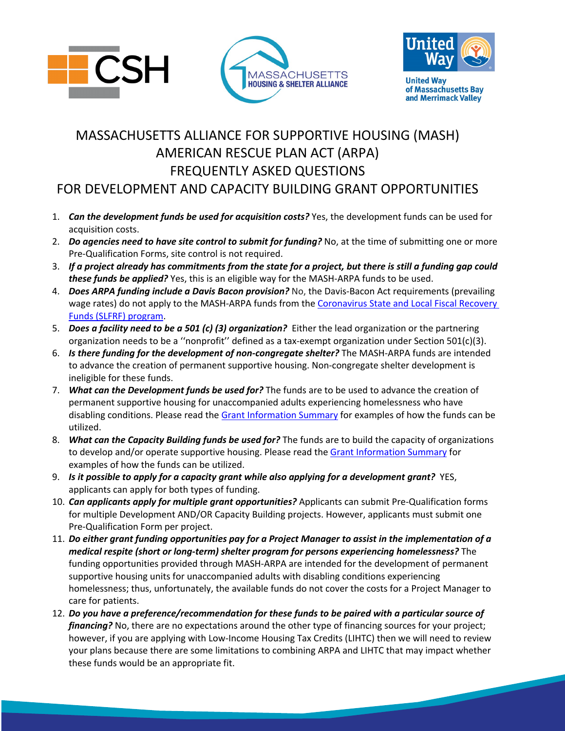





**United Way** of Massachusetts Bay and Merrimack Valley

## MASSACHUSETTS ALLIANCE FOR SUPPORTIVE HOUSING (MASH) AMERICAN RESCUE PLAN ACT (ARPA) FREQUENTLY ASKED QUESTIONS FOR DEVELOPMENT AND CAPACITY BUILDING GRANT OPPORTUNITIES

- 1. *Can the development funds be used for acquisition costs?* Yes, the development funds can be used for acquisition costs.
- 2. *Do agencies need to have site control to submit for funding?* No, at the time of submitting one or more Pre-Qualification Forms, site control is not required.
- 3. *If a project already has commitments from the state for a project, but there is still a funding gap could these funds be applied?* Yes, this is an eligible way for the MASH-ARPA funds to be used.
- 4. *Does ARPA funding include a Davis Bacon provision?* No, the Davis-Bacon Act requirements (prevailing wage rates) do not apply to the MASH-ARPA funds from the Coronavirus [State and Local Fiscal Recovery](https://home.treasury.gov/policy-issues/coronavirus/assistance-for-state-local-and-tribal-governments/state-and-local-fiscal-recovery-funds)  Funds [\(SLFRF\) program.](https://home.treasury.gov/policy-issues/coronavirus/assistance-for-state-local-and-tribal-governments/state-and-local-fiscal-recovery-funds)
- 5. *Does a facility need to be a 501 (c) (3) organization?* Either the lead organization or the partnering organization needs to be a ''nonprofit'' defined as a tax-exempt organization under Section 501(c)(3).
- 6. *Is there funding for the development of non-congregate shelter?* The MASH-ARPA funds are intended to advance the creation of permanent supportive housing. Non-congregate shelter development is ineligible for these funds.
- 7. *What can the Development funds be used for?* The funds are to be used to advance the creation of permanent supportive housing for unaccompanied adults experiencing homelessness who have disabling conditions. Please read the [Grant Information Summary](https://mhsa.net/wp-content/uploads/2022/06/MASH-ARPA-Document.pdf) for examples of how the funds can be utilized.
- 8. *What can the Capacity Building funds be used for?* The funds are to build the capacity of organizations to develop and/or operate supportive housing. Please read the [Grant Information Summary](https://mhsa.net/wp-content/uploads/2022/06/MASH-ARPA-Document.pdf) for examples of how the funds can be utilized.
- 9. *Is it possible to apply for a capacity grant while also applying for a development grant?* YES, applicants can apply for both types of funding.
- 10. *Can applicants apply for multiple grant opportunities?* Applicants can submit Pre-Qualification forms for multiple Development AND/OR Capacity Building projects. However, applicants must submit one Pre-Qualification Form per project.
- 11. *Do either grant funding opportunities pay for a Project Manager to assist in the implementation of a medical respite (short or long-term) shelter program for persons experiencing homelessness?* The funding opportunities provided through MASH-ARPA are intended for the development of permanent supportive housing units for unaccompanied adults with disabling conditions experiencing homelessness; thus, unfortunately, the available funds do not cover the costs for a Project Manager to care for patients.
- 12. *Do you have a preference/recommendation for these funds to be paired with a particular source of financing?* No, there are no expectations around the other type of financing sources for your project; however, if you are applying with Low-Income Housing Tax Credits (LIHTC) then we will need to review your plans because there are some limitations to combining ARPA and LIHTC that may impact whether these funds would be an appropriate fit.